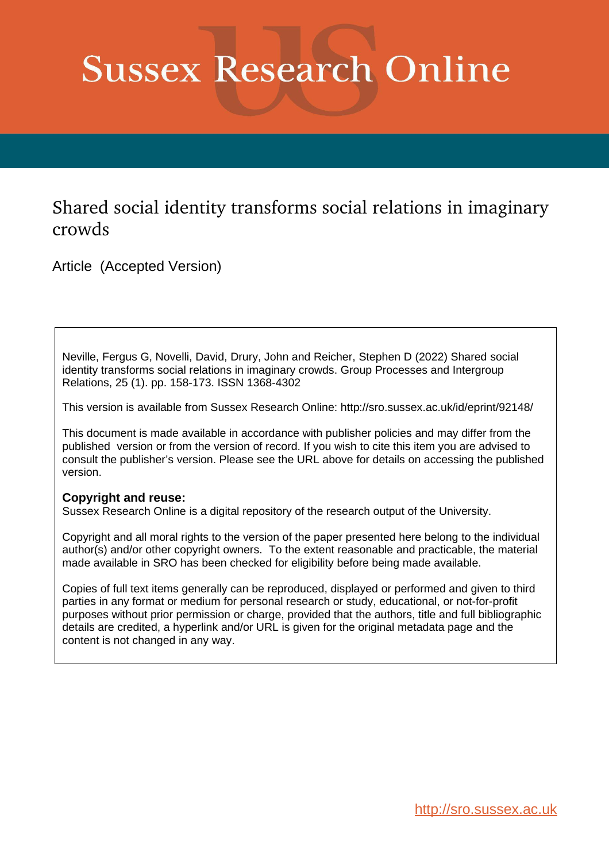# **Sussex Research Online**

# Shared social identity transforms social relations in imaginary crowds

Article (Accepted Version)

Neville, Fergus G, Novelli, David, Drury, John and Reicher, Stephen D (2022) Shared social identity transforms social relations in imaginary crowds. Group Processes and Intergroup Relations, 25 (1). pp. 158-173. ISSN 1368-4302

This version is available from Sussex Research Online: http://sro.sussex.ac.uk/id/eprint/92148/

This document is made available in accordance with publisher policies and may differ from the published version or from the version of record. If you wish to cite this item you are advised to consult the publisher's version. Please see the URL above for details on accessing the published version.

# **Copyright and reuse:**

Sussex Research Online is a digital repository of the research output of the University.

Copyright and all moral rights to the version of the paper presented here belong to the individual author(s) and/or other copyright owners. To the extent reasonable and practicable, the material made available in SRO has been checked for eligibility before being made available.

Copies of full text items generally can be reproduced, displayed or performed and given to third parties in any format or medium for personal research or study, educational, or not-for-profit purposes without prior permission or charge, provided that the authors, title and full bibliographic details are credited, a hyperlink and/or URL is given for the original metadata page and the content is not changed in any way.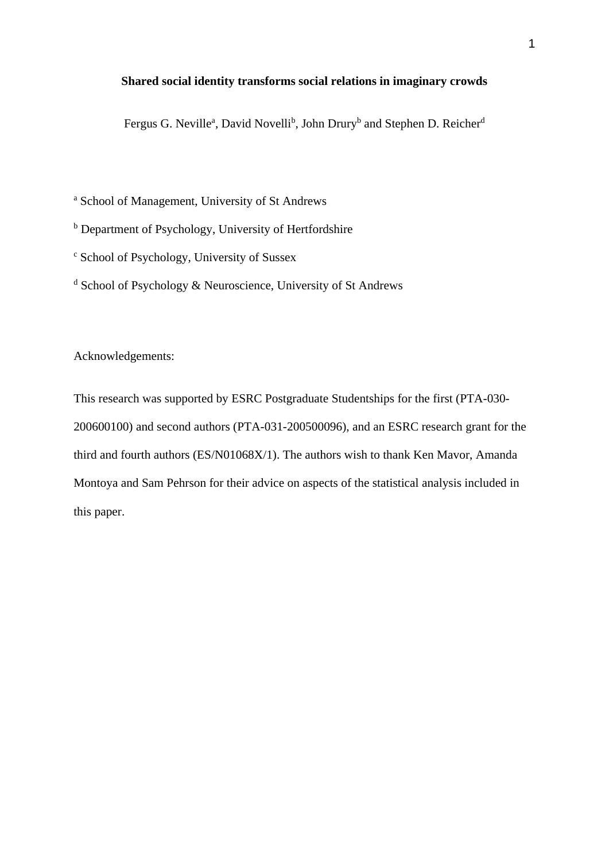# **Shared social identity transforms social relations in imaginary crowds**

Fergus G. Neville<sup>a</sup>, David Novelli<sup>b</sup>, John Drury<sup>b</sup> and Stephen D. Reicher<sup>d</sup>

<sup>a</sup> School of Management, University of St Andrews

<sup>b</sup> Department of Psychology, University of Hertfordshire

<sup>c</sup> School of Psychology, University of Sussex

 $d$  School of Psychology & Neuroscience, University of St Andrews

Acknowledgements:

This research was supported by ESRC Postgraduate Studentships for the first (PTA-030- 200600100) and second authors (PTA-031-200500096), and an ESRC research grant for the third and fourth authors (ES/N01068X/1). The authors wish to thank Ken Mavor, Amanda Montoya and Sam Pehrson for their advice on aspects of the statistical analysis included in this paper.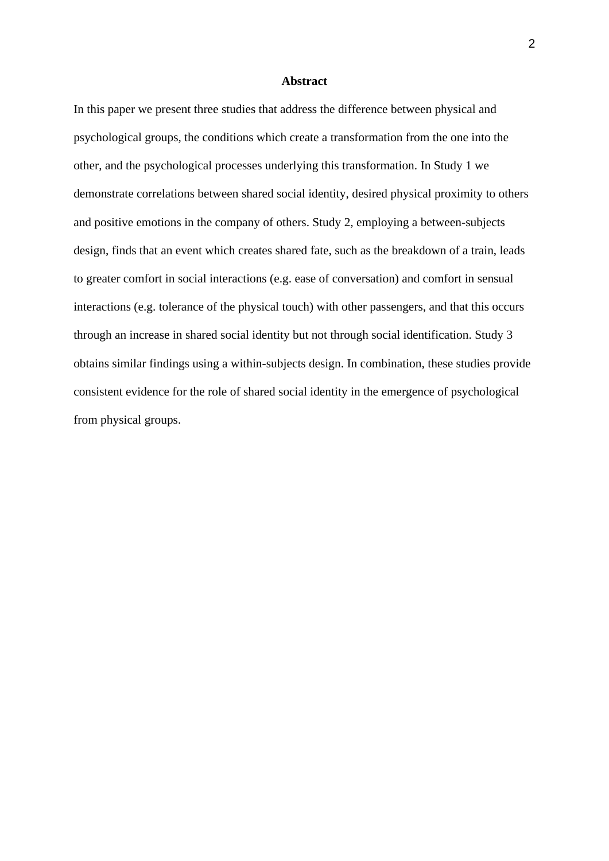#### **Abstract**

In this paper we present three studies that address the difference between physical and psychological groups, the conditions which create a transformation from the one into the other, and the psychological processes underlying this transformation. In Study 1 we demonstrate correlations between shared social identity, desired physical proximity to others and positive emotions in the company of others. Study 2, employing a between-subjects design, finds that an event which creates shared fate, such as the breakdown of a train, leads to greater comfort in social interactions (e.g. ease of conversation) and comfort in sensual interactions (e.g. tolerance of the physical touch) with other passengers, and that this occurs through an increase in shared social identity but not through social identification. Study 3 obtains similar findings using a within-subjects design. In combination, these studies provide consistent evidence for the role of shared social identity in the emergence of psychological from physical groups.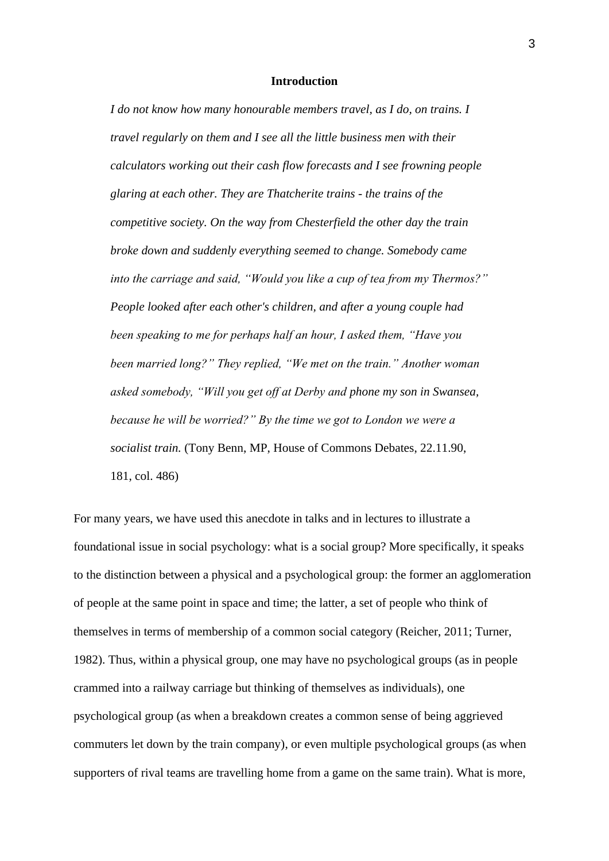#### **Introduction**

*I do not know how many honourable members travel, as I do, on trains. I travel regularly on them and I see all the little business men with their calculators working out their cash flow forecasts and I see frowning people glaring at each other. They are Thatcherite trains - the trains of the competitive society. On the way from Chesterfield the other day the train broke down and suddenly everything seemed to change. Somebody came into the carriage and said, "Would you like a cup of tea from my Thermos?" People looked after each other's children, and after a young couple had been speaking to me for perhaps half an hour, I asked them, "Have you been married long?" They replied, "We met on the train." Another woman asked somebody, "Will you get off at Derby and phone my son in Swansea, because he will be worried?" By the time we got to London we were a socialist train.* (Tony Benn, MP, House of Commons Debates, 22.11.90, 181, col. 486)

For many years, we have used this anecdote in talks and in lectures to illustrate a foundational issue in social psychology: what is a social group? More specifically, it speaks to the distinction between a physical and a psychological group: the former an agglomeration of people at the same point in space and time; the latter, a set of people who think of themselves in terms of membership of a common social category (Reicher, 2011; Turner, 1982). Thus, within a physical group, one may have no psychological groups (as in people crammed into a railway carriage but thinking of themselves as individuals), one psychological group (as when a breakdown creates a common sense of being aggrieved commuters let down by the train company), or even multiple psychological groups (as when supporters of rival teams are travelling home from a game on the same train). What is more,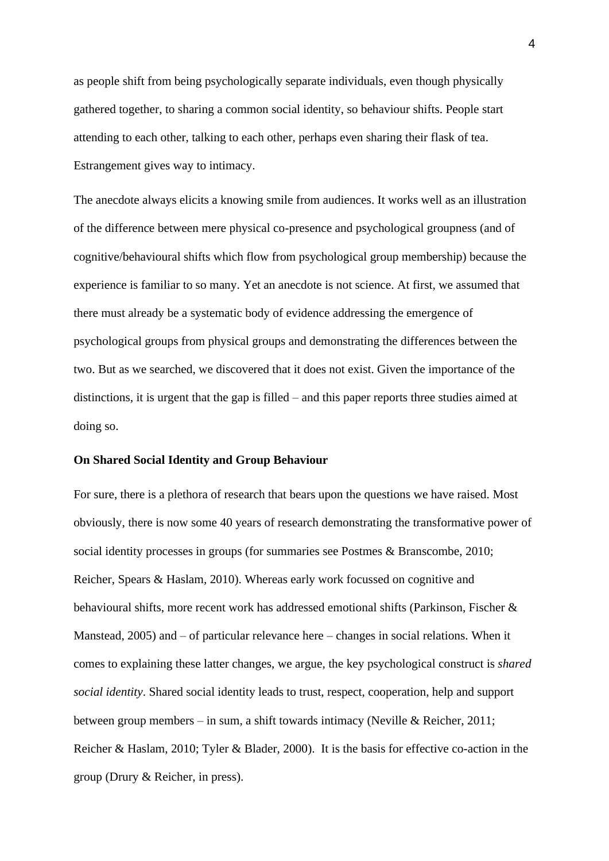as people shift from being psychologically separate individuals, even though physically gathered together, to sharing a common social identity, so behaviour shifts. People start attending to each other, talking to each other, perhaps even sharing their flask of tea. Estrangement gives way to intimacy.

The anecdote always elicits a knowing smile from audiences. It works well as an illustration of the difference between mere physical co-presence and psychological groupness (and of cognitive/behavioural shifts which flow from psychological group membership) because the experience is familiar to so many. Yet an anecdote is not science. At first, we assumed that there must already be a systematic body of evidence addressing the emergence of psychological groups from physical groups and demonstrating the differences between the two. But as we searched, we discovered that it does not exist. Given the importance of the distinctions, it is urgent that the gap is filled – and this paper reports three studies aimed at doing so.

# **On Shared Social Identity and Group Behaviour**

For sure, there is a plethora of research that bears upon the questions we have raised. Most obviously, there is now some 40 years of research demonstrating the transformative power of social identity processes in groups (for summaries see Postmes & Branscombe, 2010; Reicher, Spears & Haslam, 2010). Whereas early work focussed on cognitive and behavioural shifts, more recent work has addressed emotional shifts (Parkinson, Fischer & Manstead, 2005) and – of particular relevance here – changes in social relations. When it comes to explaining these latter changes, we argue, the key psychological construct is *shared social identity*. Shared social identity leads to trust, respect, cooperation, help and support between group members – in sum, a shift towards intimacy (Neville & Reicher, 2011; Reicher & Haslam, 2010; Tyler & Blader, 2000). It is the basis for effective co-action in the group (Drury & Reicher, in press).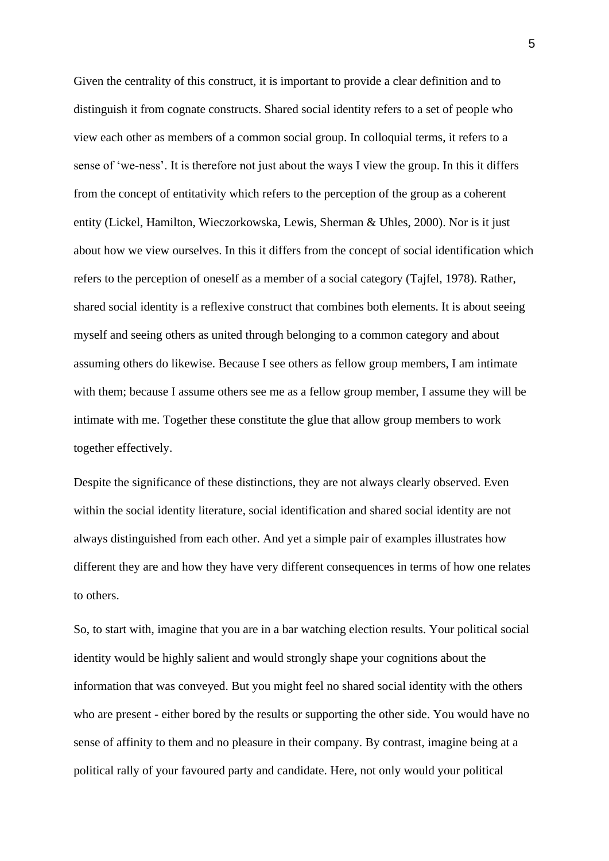Given the centrality of this construct, it is important to provide a clear definition and to distinguish it from cognate constructs. Shared social identity refers to a set of people who view each other as members of a common social group. In colloquial terms, it refers to a sense of 'we-ness'. It is therefore not just about the ways I view the group. In this it differs from the concept of entitativity which refers to the perception of the group as a coherent entity (Lickel, Hamilton, Wieczorkowska, Lewis, Sherman & Uhles, 2000). Nor is it just about how we view ourselves. In this it differs from the concept of social identification which refers to the perception of oneself as a member of a social category (Tajfel, 1978). Rather, shared social identity is a reflexive construct that combines both elements. It is about seeing myself and seeing others as united through belonging to a common category and about assuming others do likewise. Because I see others as fellow group members, I am intimate with them; because I assume others see me as a fellow group member, I assume they will be intimate with me. Together these constitute the glue that allow group members to work together effectively.

Despite the significance of these distinctions, they are not always clearly observed. Even within the social identity literature, social identification and shared social identity are not always distinguished from each other. And yet a simple pair of examples illustrates how different they are and how they have very different consequences in terms of how one relates to others.

So, to start with, imagine that you are in a bar watching election results. Your political social identity would be highly salient and would strongly shape your cognitions about the information that was conveyed. But you might feel no shared social identity with the others who are present - either bored by the results or supporting the other side. You would have no sense of affinity to them and no pleasure in their company. By contrast, imagine being at a political rally of your favoured party and candidate. Here, not only would your political

5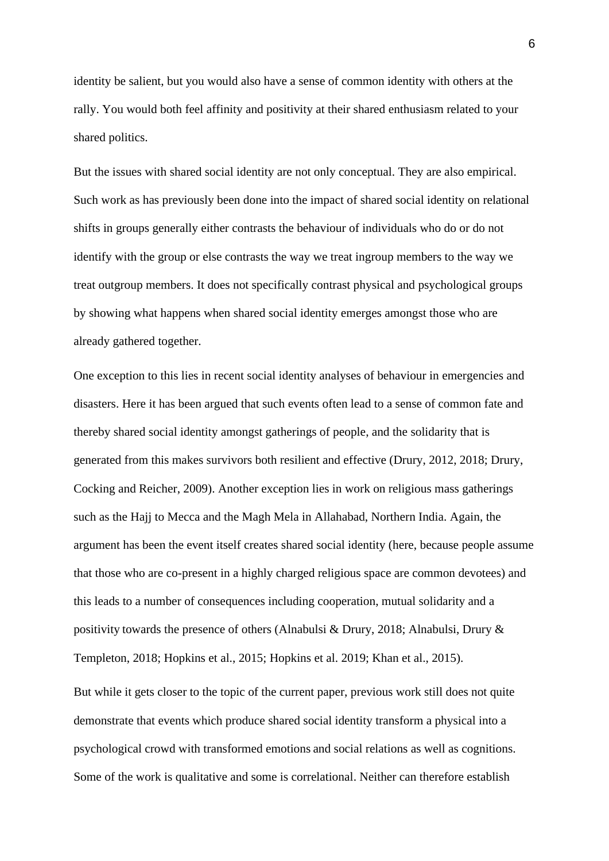identity be salient, but you would also have a sense of common identity with others at the rally. You would both feel affinity and positivity at their shared enthusiasm related to your shared politics.

But the issues with shared social identity are not only conceptual. They are also empirical. Such work as has previously been done into the impact of shared social identity on relational shifts in groups generally either contrasts the behaviour of individuals who do or do not identify with the group or else contrasts the way we treat ingroup members to the way we treat outgroup members. It does not specifically contrast physical and psychological groups by showing what happens when shared social identity emerges amongst those who are already gathered together.

One exception to this lies in recent social identity analyses of behaviour in emergencies and disasters. Here it has been argued that such events often lead to a sense of common fate and thereby shared social identity amongst gatherings of people, and the solidarity that is generated from this makes survivors both resilient and effective (Drury, 2012, 2018; Drury, Cocking and Reicher, 2009). Another exception lies in work on religious mass gatherings such as the Hajj to Mecca and the Magh Mela in Allahabad, Northern India. Again, the argument has been the event itself creates shared social identity (here, because people assume that those who are co-present in a highly charged religious space are common devotees) and this leads to a number of consequences including cooperation, mutual solidarity and a positivity towards the presence of others (Alnabulsi & Drury, 2018; Alnabulsi, Drury & Templeton, 2018; Hopkins et al., 2015; Hopkins et al. 2019; Khan et al., 2015).

But while it gets closer to the topic of the current paper, previous work still does not quite demonstrate that events which produce shared social identity transform a physical into a psychological crowd with transformed emotions and social relations as well as cognitions. Some of the work is qualitative and some is correlational. Neither can therefore establish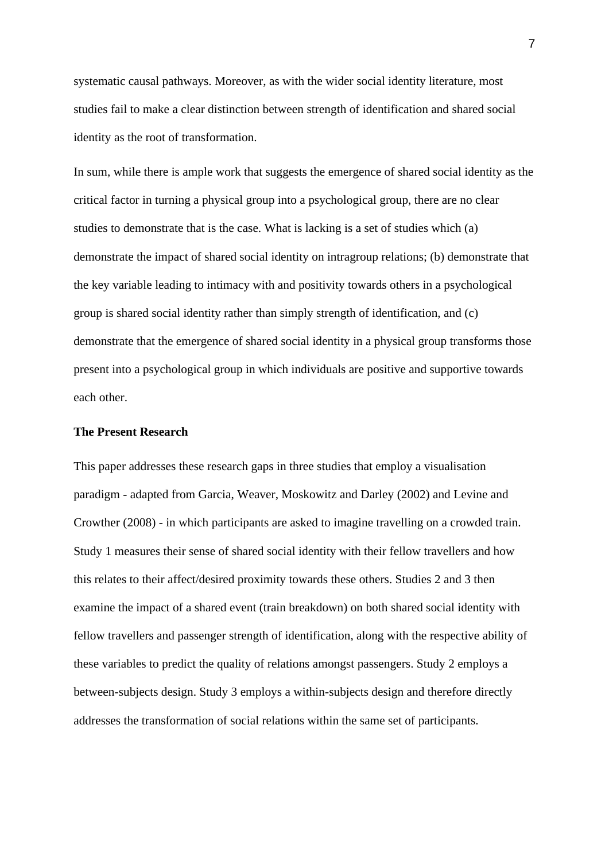systematic causal pathways. Moreover, as with the wider social identity literature, most studies fail to make a clear distinction between strength of identification and shared social identity as the root of transformation.

In sum, while there is ample work that suggests the emergence of shared social identity as the critical factor in turning a physical group into a psychological group, there are no clear studies to demonstrate that is the case. What is lacking is a set of studies which (a) demonstrate the impact of shared social identity on intragroup relations; (b) demonstrate that the key variable leading to intimacy with and positivity towards others in a psychological group is shared social identity rather than simply strength of identification, and (c) demonstrate that the emergence of shared social identity in a physical group transforms those present into a psychological group in which individuals are positive and supportive towards each other.

# **The Present Research**

This paper addresses these research gaps in three studies that employ a visualisation paradigm - adapted from Garcia, Weaver, Moskowitz and Darley (2002) and Levine and Crowther (2008) - in which participants are asked to imagine travelling on a crowded train. Study 1 measures their sense of shared social identity with their fellow travellers and how this relates to their affect/desired proximity towards these others. Studies 2 and 3 then examine the impact of a shared event (train breakdown) on both shared social identity with fellow travellers and passenger strength of identification, along with the respective ability of these variables to predict the quality of relations amongst passengers. Study 2 employs a between-subjects design. Study 3 employs a within-subjects design and therefore directly addresses the transformation of social relations within the same set of participants.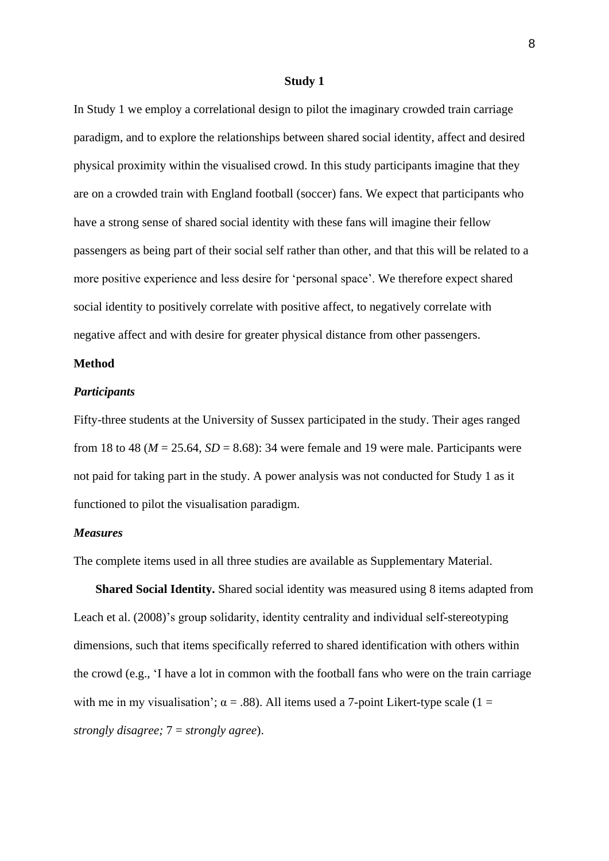#### **Study 1**

In Study 1 we employ a correlational design to pilot the imaginary crowded train carriage paradigm, and to explore the relationships between shared social identity, affect and desired physical proximity within the visualised crowd. In this study participants imagine that they are on a crowded train with England football (soccer) fans. We expect that participants who have a strong sense of shared social identity with these fans will imagine their fellow passengers as being part of their social self rather than other, and that this will be related to a more positive experience and less desire for 'personal space'. We therefore expect shared social identity to positively correlate with positive affect, to negatively correlate with negative affect and with desire for greater physical distance from other passengers.

# **Method**

#### *Participants*

Fifty-three students at the University of Sussex participated in the study. Their ages ranged from 18 to 48 ( $M = 25.64$ ,  $SD = 8.68$ ): 34 were female and 19 were male. Participants were not paid for taking part in the study. A power analysis was not conducted for Study 1 as it functioned to pilot the visualisation paradigm.

# *Measures*

The complete items used in all three studies are available as Supplementary Material.

**Shared Social Identity.** Shared social identity was measured using 8 items adapted from Leach et al. (2008)'s group solidarity, identity centrality and individual self-stereotyping dimensions, such that items specifically referred to shared identification with others within the crowd (e.g., 'I have a lot in common with the football fans who were on the train carriage with me in my visualisation';  $\alpha = .88$ ). All items used a 7-point Likert-type scale (1 = *strongly disagree;* 7 = *strongly agree*).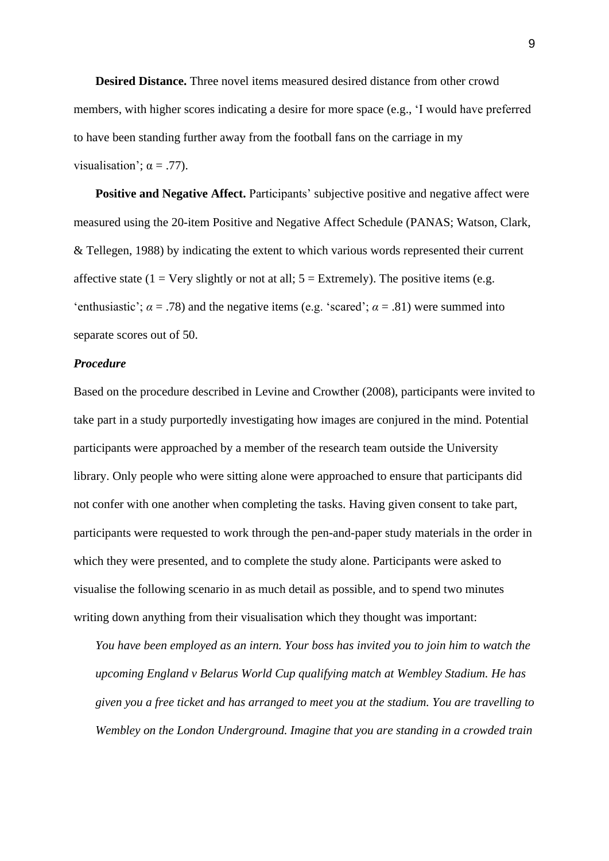**Desired Distance.** Three novel items measured desired distance from other crowd members, with higher scores indicating a desire for more space (e.g., 'I would have preferred to have been standing further away from the football fans on the carriage in my visualisation';  $\alpha = .77$ ).

**Positive and Negative Affect.** Participants' subjective positive and negative affect were measured using the 20-item Positive and Negative Affect Schedule (PANAS; Watson, Clark, & Tellegen, 1988) by indicating the extent to which various words represented their current affective state (1 = Very slightly or not at all;  $5 =$  Extremely). The positive items (e.g. 'enthusiastic';  $\alpha$  = .78) and the negative items (e.g. 'scared';  $\alpha$  = .81) were summed into separate scores out of 50.

# *Procedure*

Based on the procedure described in Levine and Crowther (2008), participants were invited to take part in a study purportedly investigating how images are conjured in the mind. Potential participants were approached by a member of the research team outside the University library. Only people who were sitting alone were approached to ensure that participants did not confer with one another when completing the tasks. Having given consent to take part, participants were requested to work through the pen-and-paper study materials in the order in which they were presented, and to complete the study alone. Participants were asked to visualise the following scenario in as much detail as possible, and to spend two minutes writing down anything from their visualisation which they thought was important:

*You have been employed as an intern. Your boss has invited you to join him to watch the upcoming England v Belarus World Cup qualifying match at Wembley Stadium. He has given you a free ticket and has arranged to meet you at the stadium. You are travelling to Wembley on the London Underground. Imagine that you are standing in a crowded train*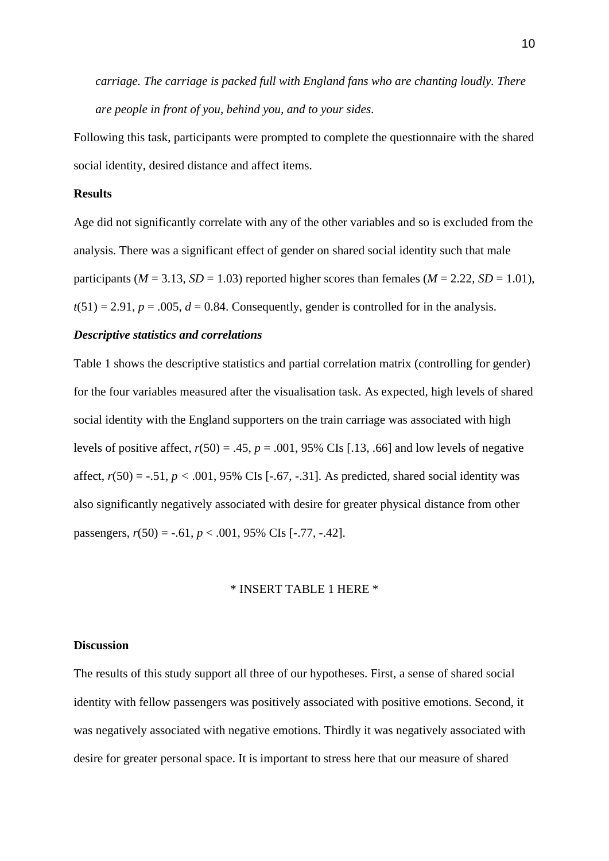*carriage. The carriage is packed full with England fans who are chanting loudly. There are people in front of you, behind you, and to your sides.*

Following this task, participants were prompted to complete the questionnaire with the shared social identity, desired distance and affect items.

#### **Results**

Age did not significantly correlate with any of the other variables and so is excluded from the analysis. There was a significant effect of gender on shared social identity such that male participants ( $M = 3.13$ ,  $SD = 1.03$ ) reported higher scores than females ( $M = 2.22$ ,  $SD = 1.01$ ),  $t(51) = 2.91$ ,  $p = .005$ ,  $d = 0.84$ . Consequently, gender is controlled for in the analysis.

#### *Descriptive statistics and correlations*

Table 1 shows the descriptive statistics and partial correlation matrix (controlling for gender) for the four variables measured after the visualisation task. As expected, high levels of shared social identity with the England supporters on the train carriage was associated with high levels of positive affect,  $r(50) = .45$ ,  $p = .001$ , 95% CIs [.13, .66] and low levels of negative affect,  $r(50) = -.51$ ,  $p < .001$ , 95% CIs [-.67, -.31]. As predicted, shared social identity was also significantly negatively associated with desire for greater physical distance from other passengers,  $r(50) = -.61$ ,  $p < .001$ , 95% CIs [-.77, -.42].

# \* INSERT TABLE 1 HERE \*

#### **Discussion**

The results of this study support all three of our hypotheses. First, a sense of shared social identity with fellow passengers was positively associated with positive emotions. Second, it was negatively associated with negative emotions. Thirdly it was negatively associated with desire for greater personal space. It is important to stress here that our measure of shared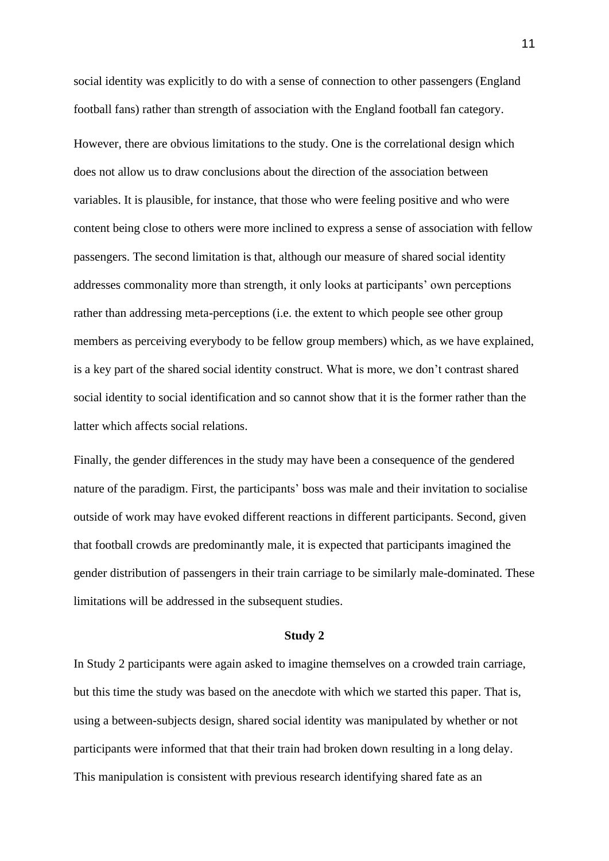social identity was explicitly to do with a sense of connection to other passengers (England football fans) rather than strength of association with the England football fan category. However, there are obvious limitations to the study. One is the correlational design which does not allow us to draw conclusions about the direction of the association between variables. It is plausible, for instance, that those who were feeling positive and who were content being close to others were more inclined to express a sense of association with fellow passengers. The second limitation is that, although our measure of shared social identity addresses commonality more than strength, it only looks at participants' own perceptions rather than addressing meta-perceptions (i.e. the extent to which people see other group members as perceiving everybody to be fellow group members) which, as we have explained, is a key part of the shared social identity construct. What is more, we don't contrast shared social identity to social identification and so cannot show that it is the former rather than the latter which affects social relations.

Finally, the gender differences in the study may have been a consequence of the gendered nature of the paradigm. First, the participants' boss was male and their invitation to socialise outside of work may have evoked different reactions in different participants. Second, given that football crowds are predominantly male, it is expected that participants imagined the gender distribution of passengers in their train carriage to be similarly male-dominated. These limitations will be addressed in the subsequent studies.

#### **Study 2**

In Study 2 participants were again asked to imagine themselves on a crowded train carriage, but this time the study was based on the anecdote with which we started this paper. That is, using a between-subjects design, shared social identity was manipulated by whether or not participants were informed that that their train had broken down resulting in a long delay. This manipulation is consistent with previous research identifying shared fate as an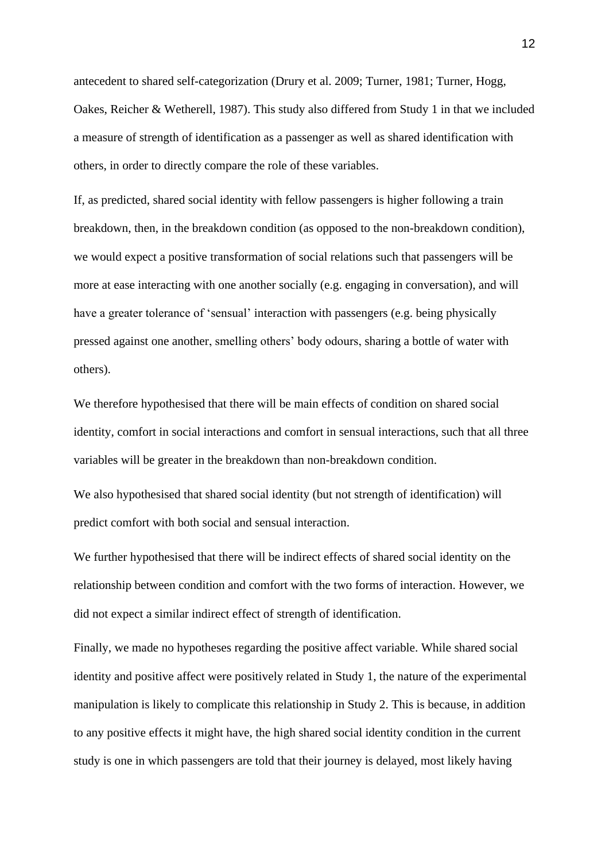antecedent to shared self-categorization (Drury et al. 2009; Turner, 1981; Turner, Hogg, Oakes, Reicher & Wetherell, 1987). This study also differed from Study 1 in that we included a measure of strength of identification as a passenger as well as shared identification with others, in order to directly compare the role of these variables.

If, as predicted, shared social identity with fellow passengers is higher following a train breakdown, then, in the breakdown condition (as opposed to the non-breakdown condition), we would expect a positive transformation of social relations such that passengers will be more at ease interacting with one another socially (e.g. engaging in conversation), and will have a greater tolerance of 'sensual' interaction with passengers (e.g. being physically pressed against one another, smelling others' body odours, sharing a bottle of water with others).

We therefore hypothesised that there will be main effects of condition on shared social identity, comfort in social interactions and comfort in sensual interactions, such that all three variables will be greater in the breakdown than non-breakdown condition.

We also hypothesised that shared social identity (but not strength of identification) will predict comfort with both social and sensual interaction.

We further hypothesised that there will be indirect effects of shared social identity on the relationship between condition and comfort with the two forms of interaction. However, we did not expect a similar indirect effect of strength of identification.

Finally, we made no hypotheses regarding the positive affect variable. While shared social identity and positive affect were positively related in Study 1, the nature of the experimental manipulation is likely to complicate this relationship in Study 2. This is because, in addition to any positive effects it might have, the high shared social identity condition in the current study is one in which passengers are told that their journey is delayed, most likely having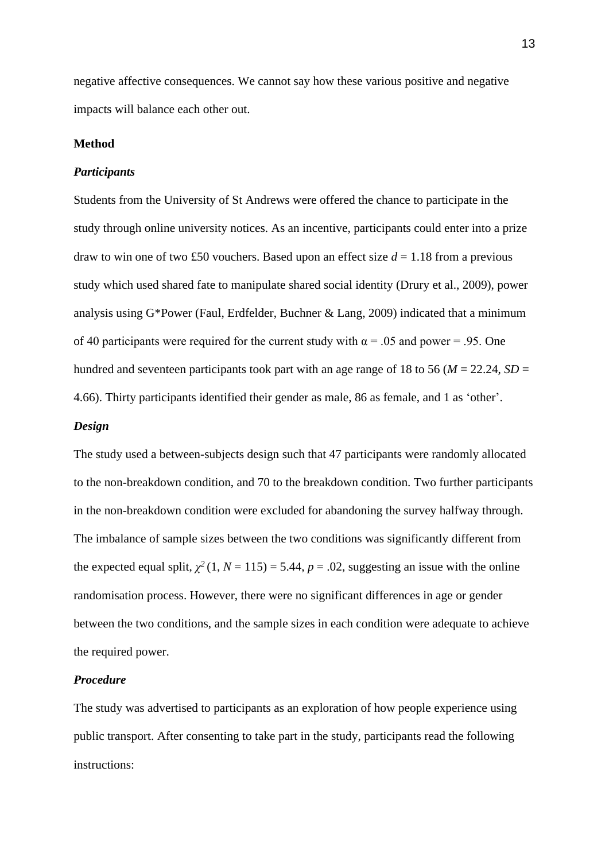negative affective consequences. We cannot say how these various positive and negative impacts will balance each other out.

#### **Method**

#### *Participants*

Students from the University of St Andrews were offered the chance to participate in the study through online university notices. As an incentive, participants could enter into a prize draw to win one of two £50 vouchers. Based upon an effect size  $d = 1.18$  from a previous study which used shared fate to manipulate shared social identity (Drury et al., 2009), power analysis using G\*Power (Faul, Erdfelder, Buchner & Lang, 2009) indicated that a minimum of 40 participants were required for the current study with  $\alpha = .05$  and power = .95. One hundred and seventeen participants took part with an age range of 18 to 56 ( $M = 22.24$ ,  $SD =$ 4.66). Thirty participants identified their gender as male, 86 as female, and 1 as 'other'.

#### *Design*

The study used a between-subjects design such that 47 participants were randomly allocated to the non-breakdown condition, and 70 to the breakdown condition. Two further participants in the non-breakdown condition were excluded for abandoning the survey halfway through. The imbalance of sample sizes between the two conditions was significantly different from the expected equal split,  $\chi^2$  (1, *N* = 115) = 5.44, *p* = .02, suggesting an issue with the online randomisation process. However, there were no significant differences in age or gender between the two conditions, and the sample sizes in each condition were adequate to achieve the required power.

#### *Procedure*

The study was advertised to participants as an exploration of how people experience using public transport. After consenting to take part in the study, participants read the following instructions: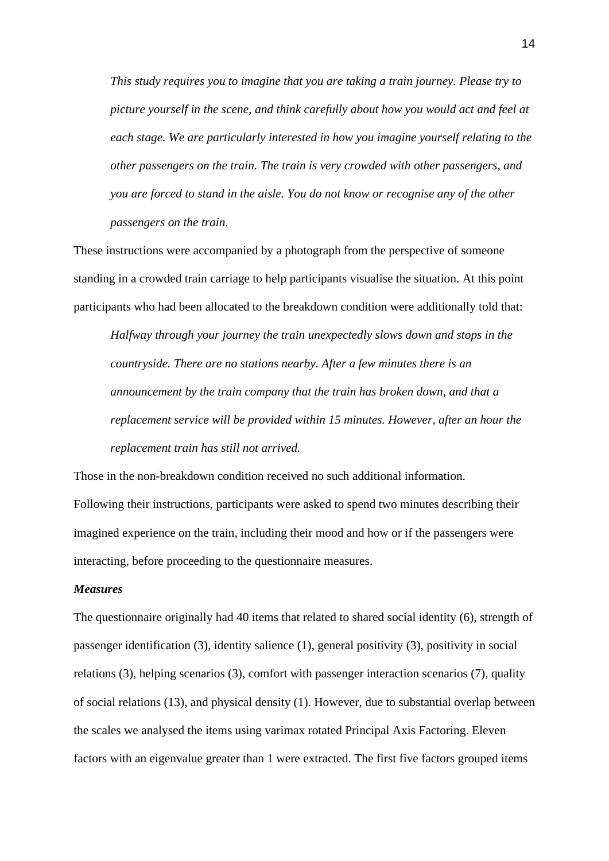*This study requires you to imagine that you are taking a train journey. Please try to picture yourself in the scene, and think carefully about how you would act and feel at each stage. We are particularly interested in how you imagine yourself relating to the other passengers on the train. The train is very crowded with other passengers, and you are forced to stand in the aisle. You do not know or recognise any of the other passengers on the train.*

These instructions were accompanied by a photograph from the perspective of someone standing in a crowded train carriage to help participants visualise the situation. At this point participants who had been allocated to the breakdown condition were additionally told that:

*Halfway through your journey the train unexpectedly slows down and stops in the countryside. There are no stations nearby. After a few minutes there is an announcement by the train company that the train has broken down, and that a replacement service will be provided within 15 minutes. However, after an hour the replacement train has still not arrived.*

Those in the non-breakdown condition received no such additional information. Following their instructions, participants were asked to spend two minutes describing their imagined experience on the train, including their mood and how or if the passengers were interacting, before proceeding to the questionnaire measures.

#### *Measures*

The questionnaire originally had 40 items that related to shared social identity (6), strength of passenger identification (3), identity salience (1), general positivity (3), positivity in social relations (3), helping scenarios (3), comfort with passenger interaction scenarios (7), quality of social relations (13), and physical density (1). However, due to substantial overlap between the scales we analysed the items using varimax rotated Principal Axis Factoring. Eleven factors with an eigenvalue greater than 1 were extracted. The first five factors grouped items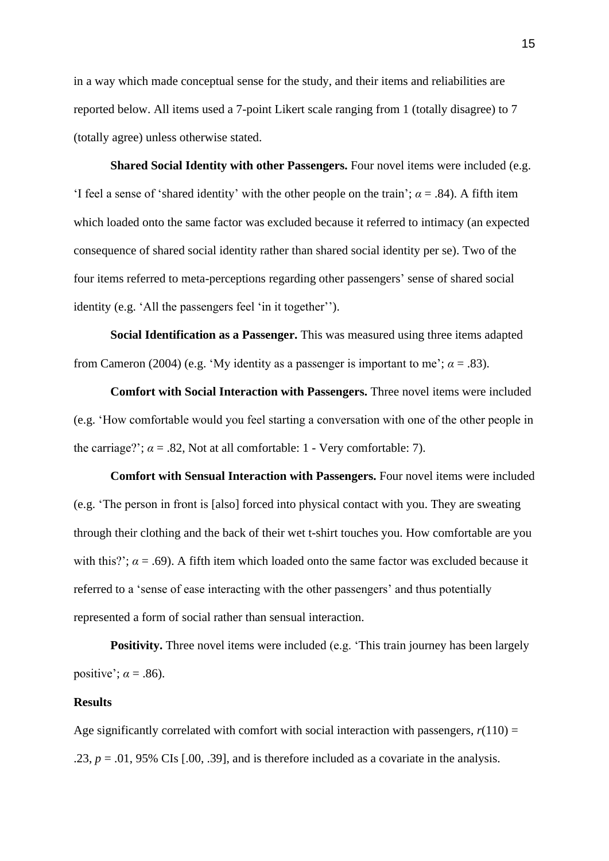in a way which made conceptual sense for the study, and their items and reliabilities are reported below. All items used a 7-point Likert scale ranging from 1 (totally disagree) to 7 (totally agree) unless otherwise stated.

**Shared Social Identity with other Passengers.** Four novel items were included (e.g. 'I feel a sense of 'shared identity' with the other people on the train';  $\alpha$  = .84). A fifth item which loaded onto the same factor was excluded because it referred to intimacy (an expected consequence of shared social identity rather than shared social identity per se). Two of the four items referred to meta-perceptions regarding other passengers' sense of shared social identity (e.g. 'All the passengers feel 'in it together'').

**Social Identification as a Passenger.** This was measured using three items adapted from Cameron (2004) (e.g. 'My identity as a passenger is important to me';  $\alpha = .83$ ).

**Comfort with Social Interaction with Passengers.** Three novel items were included (e.g. 'How comfortable would you feel starting a conversation with one of the other people in the carriage?';  $\alpha = .82$ , Not at all comfortable: 1 - Very comfortable: 7).

**Comfort with Sensual Interaction with Passengers.** Four novel items were included (e.g. 'The person in front is [also] forced into physical contact with you. They are sweating through their clothing and the back of their wet t-shirt touches you. How comfortable are you with this?';  $\alpha$  = .69). A fifth item which loaded onto the same factor was excluded because it referred to a 'sense of ease interacting with the other passengers' and thus potentially represented a form of social rather than sensual interaction.

**Positivity.** Three novel items were included (e.g. 'This train journey has been largely positive';  $\alpha = .86$ ).

# **Results**

Age significantly correlated with comfort with social interaction with passengers,  $r(110)$  = .23,  $p = .01$ , 95% CIs  $[0.00, .39]$ , and is therefore included as a covariate in the analysis.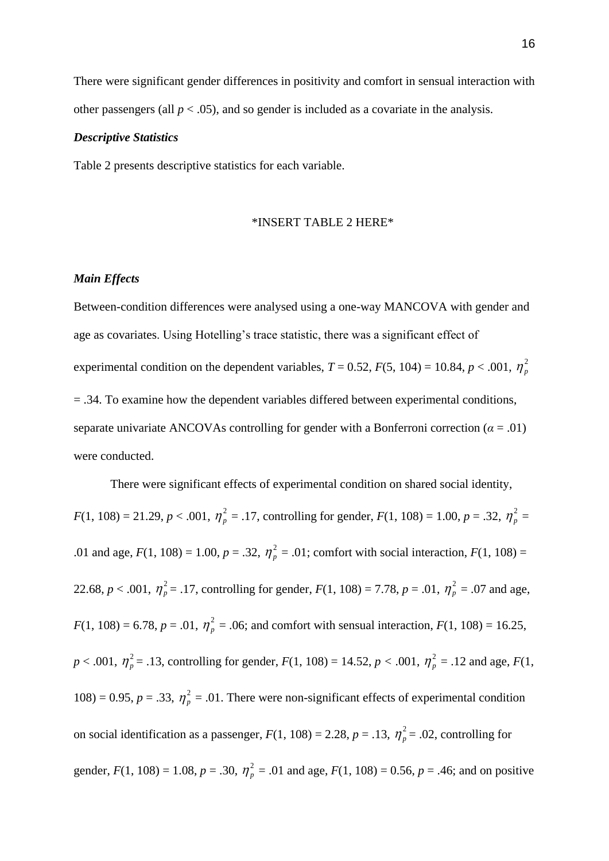There were significant gender differences in positivity and comfort in sensual interaction with other passengers (all  $p < .05$ ), and so gender is included as a covariate in the analysis.

#### *Descriptive Statistics*

Table 2 presents descriptive statistics for each variable.

## \*INSERT TABLE 2 HERE\*

#### *Main Effects*

Between-condition differences were analysed using a one-way MANCOVA with gender and age as covariates. Using Hotelling's trace statistic, there was a significant effect of experimental condition on the dependent variables,  $T = 0.52$ ,  $F(5, 104) = 10.84$ ,  $p < .001$ ,  $\eta_p^2$ = .34. To examine how the dependent variables differed between experimental conditions, separate univariate ANCOVAs controlling for gender with a Bonferroni correction ( $\alpha = .01$ ) were conducted.

There were significant effects of experimental condition on shared social identity,

 $F(1, 108) = 21.29, p < .001, \eta_p^2 = .17$ , controlling for gender,  $F(1, 108) = 1.00, p = .32, \eta_p^2 =$ .01 and age,  $F(1, 108) = 1.00$ ,  $p = .32$ ,  $\eta_p^2 = .01$ ; comfort with social interaction,  $F(1, 108) =$ 22.68,  $p < .001$ ,  $\eta_p^2 = .17$ , controlling for gender,  $F(1, 108) = 7.78$ ,  $p = .01$ ,  $\eta_p^2 = .07$  and age,  $F(1, 108) = 6.78$ ,  $p = .01$ ,  $\eta_p^2 = .06$ ; and comfort with sensual interaction,  $F(1, 108) = 16.25$ ,  $p < .001$ ,  $\eta_p^2 = .13$ , controlling for gender,  $F(1, 108) = 14.52$ ,  $p < .001$ ,  $\eta_p^2 = .12$  and age,  $F(1, 108) = .12$ 108) = 0.95,  $p = .33$ ,  $\eta_p^2 = .01$ . There were non-significant effects of experimental condition on social identification as a passenger,  $F(1, 108) = 2.28$ ,  $p = .13$ ,  $\eta_p^2 = .02$ , controlling for gender,  $F(1, 108) = 1.08$ ,  $p = .30$ ,  $\eta_p^2 = .01$  and age,  $F(1, 108) = 0.56$ ,  $p = .46$ ; and on positive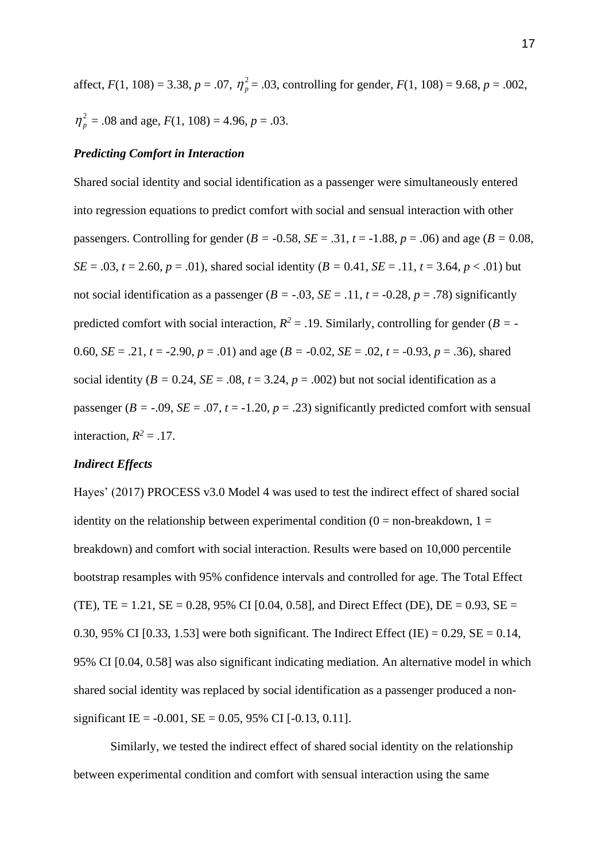affect,  $F(1, 108) = 3.38$ ,  $p = .07$ ,  $\eta_p^2 = .03$ , controlling for gender,  $F(1, 108) = 9.68$ ,  $p = .002$ ,  $\eta_p^2$  = .08 and age, *F*(1, 108) = 4.96, *p* = .03.

# *Predicting Comfort in Interaction*

Shared social identity and social identification as a passenger were simultaneously entered into regression equations to predict comfort with social and sensual interaction with other passengers. Controlling for gender ( $B = -0.58$ ,  $SE = .31$ ,  $t = -1.88$ ,  $p = .06$ ) and age ( $B = 0.08$ , *SE* = .03, *t* = 2.60, *p* = .01), shared social identity (*B* = 0.41, *SE* = .11, *t* = 3.64, *p* < .01) but not social identification as a passenger ( $B = -0.03$ ,  $SE = -11$ ,  $t = -0.28$ ,  $p = -78$ ) significantly predicted comfort with social interaction,  $R^2 = .19$ . Similarly, controlling for gender ( $B = -19$ 0.60, *SE* = .21, *t* = -2.90, *p* = .01) and age (*B* = -0.02, *SE* = .02, *t* = -0.93, *p* = .36), shared social identity ( $B = 0.24$ ,  $SE = .08$ ,  $t = 3.24$ ,  $p = .002$ ) but not social identification as a passenger ( $B = -0.09$ ,  $SE = 0.07$ ,  $t = -1.20$ ,  $p = 0.23$ ) significantly predicted comfort with sensual interaction,  $R^2 = .17$ .

## *Indirect Effects*

Hayes' (2017) PROCESS v3.0 Model 4 was used to test the indirect effect of shared social identity on the relationship between experimental condition  $(0 = non-breakdown, 1 =$ breakdown) and comfort with social interaction. Results were based on 10,000 percentile bootstrap resamples with 95% confidence intervals and controlled for age. The Total Effect (TE), TE = 1.21, SE = 0.28, 95% CI [0.04, 0.58], and Direct Effect (DE), DE = 0.93, SE = 0.30, 95% CI [0.33, 1.53] were both significant. The Indirect Effect (IE) = 0.29, SE = 0.14, 95% CI [0.04, 0.58] was also significant indicating mediation. An alternative model in which shared social identity was replaced by social identification as a passenger produced a nonsignificant IE =  $-0.001$ , SE = 0.05, 95% CI  $[-0.13, 0.11]$ .

Similarly, we tested the indirect effect of shared social identity on the relationship between experimental condition and comfort with sensual interaction using the same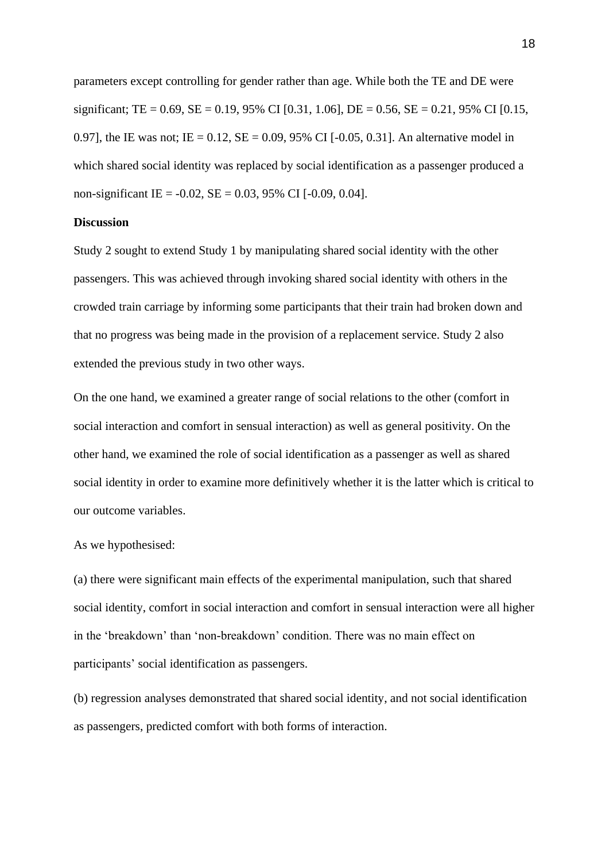parameters except controlling for gender rather than age. While both the TE and DE were significant; TE = 0.69, SE = 0.19, 95% CI [0.31, 1.06], DE = 0.56, SE = 0.21, 95% CI [0.15, 0.97], the IE was not; IE =  $0.12$ , SE = 0.09, 95% CI [-0.05, 0.31]. An alternative model in which shared social identity was replaced by social identification as a passenger produced a non-significant IE =  $-0.02$ , SE = 0.03, 95% CI  $[-0.09, 0.04]$ .

# **Discussion**

Study 2 sought to extend Study 1 by manipulating shared social identity with the other passengers. This was achieved through invoking shared social identity with others in the crowded train carriage by informing some participants that their train had broken down and that no progress was being made in the provision of a replacement service. Study 2 also extended the previous study in two other ways.

On the one hand, we examined a greater range of social relations to the other (comfort in social interaction and comfort in sensual interaction) as well as general positivity. On the other hand, we examined the role of social identification as a passenger as well as shared social identity in order to examine more definitively whether it is the latter which is critical to our outcome variables.

# As we hypothesised:

(a) there were significant main effects of the experimental manipulation, such that shared social identity, comfort in social interaction and comfort in sensual interaction were all higher in the 'breakdown' than 'non-breakdown' condition. There was no main effect on participants' social identification as passengers.

(b) regression analyses demonstrated that shared social identity, and not social identification as passengers, predicted comfort with both forms of interaction.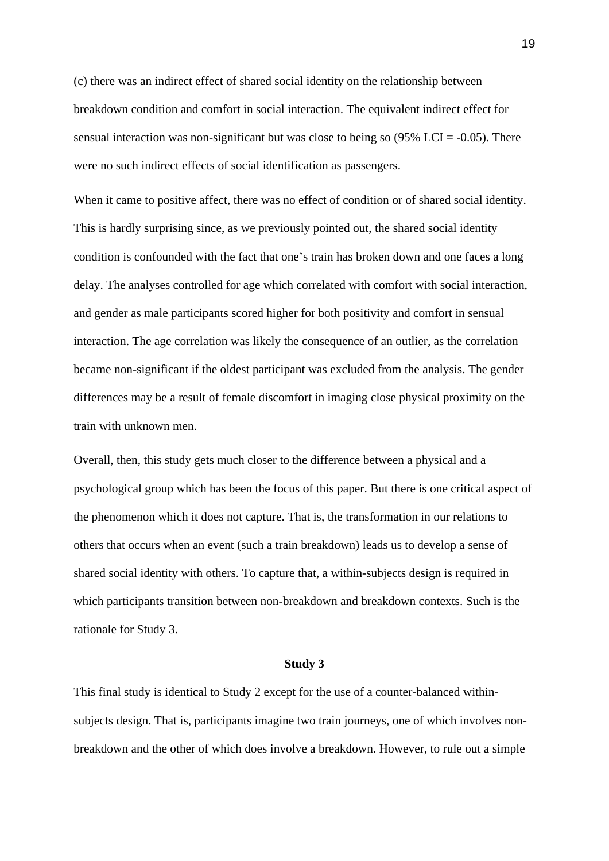(c) there was an indirect effect of shared social identity on the relationship between breakdown condition and comfort in social interaction. The equivalent indirect effect for sensual interaction was non-significant but was close to being so  $(95\%$  LCI = -0.05). There were no such indirect effects of social identification as passengers.

When it came to positive affect, there was no effect of condition or of shared social identity. This is hardly surprising since, as we previously pointed out, the shared social identity condition is confounded with the fact that one's train has broken down and one faces a long delay. The analyses controlled for age which correlated with comfort with social interaction, and gender as male participants scored higher for both positivity and comfort in sensual interaction. The age correlation was likely the consequence of an outlier, as the correlation became non-significant if the oldest participant was excluded from the analysis. The gender differences may be a result of female discomfort in imaging close physical proximity on the train with unknown men.

Overall, then, this study gets much closer to the difference between a physical and a psychological group which has been the focus of this paper. But there is one critical aspect of the phenomenon which it does not capture. That is, the transformation in our relations to others that occurs when an event (such a train breakdown) leads us to develop a sense of shared social identity with others. To capture that, a within-subjects design is required in which participants transition between non-breakdown and breakdown contexts. Such is the rationale for Study 3.

#### **Study 3**

This final study is identical to Study 2 except for the use of a counter-balanced withinsubjects design. That is, participants imagine two train journeys, one of which involves nonbreakdown and the other of which does involve a breakdown. However, to rule out a simple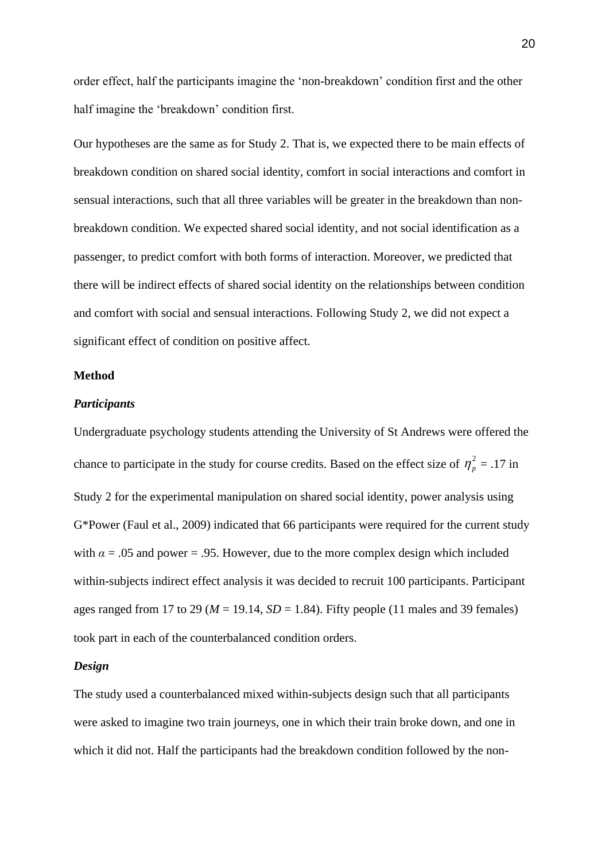order effect, half the participants imagine the 'non-breakdown' condition first and the other half imagine the 'breakdown' condition first.

Our hypotheses are the same as for Study 2. That is, we expected there to be main effects of breakdown condition on shared social identity, comfort in social interactions and comfort in sensual interactions, such that all three variables will be greater in the breakdown than nonbreakdown condition. We expected shared social identity, and not social identification as a passenger, to predict comfort with both forms of interaction. Moreover, we predicted that there will be indirect effects of shared social identity on the relationships between condition and comfort with social and sensual interactions. Following Study 2, we did not expect a significant effect of condition on positive affect.

# **Method**

#### *Participants*

Undergraduate psychology students attending the University of St Andrews were offered the chance to participate in the study for course credits. Based on the effect size of  $\eta_p^2 = .17$  in Study 2 for the experimental manipulation on shared social identity, power analysis using G\*Power (Faul et al., 2009) indicated that 66 participants were required for the current study with  $\alpha = .05$  and power = .95. However, due to the more complex design which included within-subjects indirect effect analysis it was decided to recruit 100 participants. Participant ages ranged from 17 to 29 ( $M = 19.14$ ,  $SD = 1.84$ ). Fifty people (11 males and 39 females) took part in each of the counterbalanced condition orders.

# *Design*

The study used a counterbalanced mixed within-subjects design such that all participants were asked to imagine two train journeys, one in which their train broke down, and one in which it did not. Half the participants had the breakdown condition followed by the non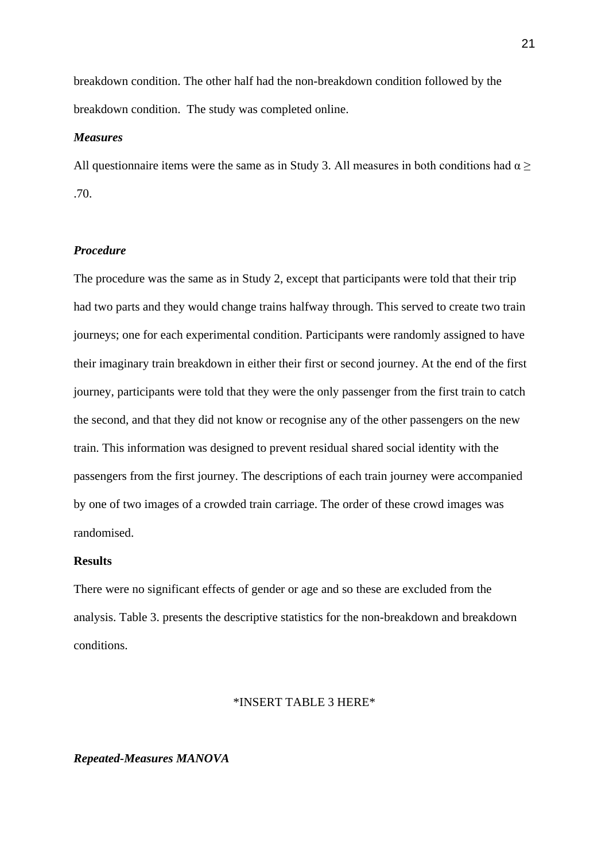breakdown condition. The other half had the non-breakdown condition followed by the breakdown condition. The study was completed online.

#### *Measures*

All questionnaire items were the same as in Study 3. All measures in both conditions had  $\alpha$  > .70.

# *Procedure*

The procedure was the same as in Study 2, except that participants were told that their trip had two parts and they would change trains halfway through. This served to create two train journeys; one for each experimental condition. Participants were randomly assigned to have their imaginary train breakdown in either their first or second journey. At the end of the first journey, participants were told that they were the only passenger from the first train to catch the second, and that they did not know or recognise any of the other passengers on the new train. This information was designed to prevent residual shared social identity with the passengers from the first journey. The descriptions of each train journey were accompanied by one of two images of a crowded train carriage. The order of these crowd images was randomised.

# **Results**

There were no significant effects of gender or age and so these are excluded from the analysis. Table 3. presents the descriptive statistics for the non-breakdown and breakdown conditions.

#### \*INSERT TABLE 3 HERE\*

# *Repeated-Measures MANOVA*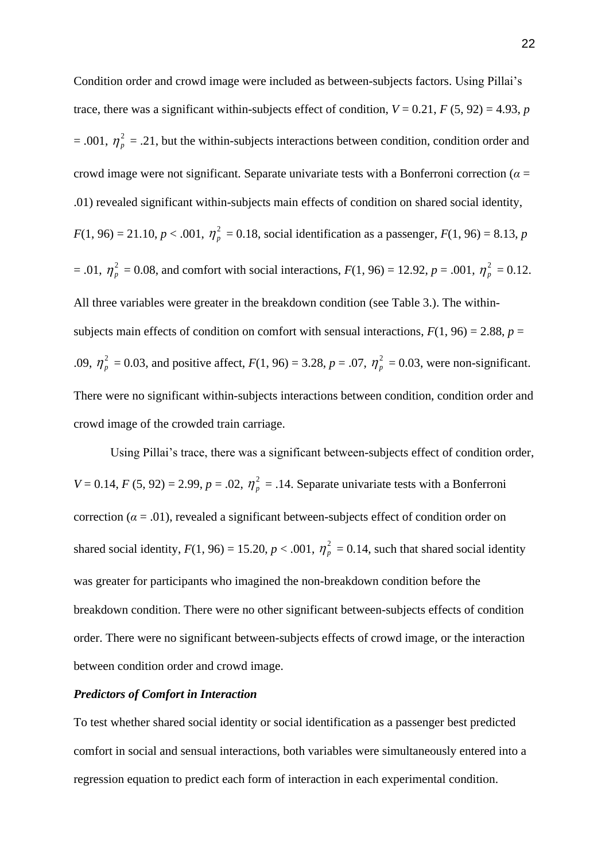Condition order and crowd image were included as between-subjects factors. Using Pillai's trace, there was a significant within-subjects effect of condition,  $V = 0.21$ ,  $F (5, 92) = 4.93$ , *p*  $= .001, \eta_p^2 = .21$ , but the within-subjects interactions between condition, condition order and crowd image were not significant. Separate univariate tests with a Bonferroni correction ( $\alpha$  = .01) revealed significant within-subjects main effects of condition on shared social identity,  $F(1, 96) = 21.10, p < .001, \eta_p^2 = 0.18$ , social identification as a passenger,  $F(1, 96) = 8.13, p$  $= .01, \eta_p^2 = 0.08$ , and comfort with social interactions,  $F(1, 96) = 12.92, p = .001, \eta_p^2 = 0.12$ . All three variables were greater in the breakdown condition (see Table 3.). The withinsubjects main effects of condition on comfort with sensual interactions,  $F(1, 96) = 2.88$ ,  $p =$ .09,  $\eta_p^2 = 0.03$ , and positive affect,  $F(1, 96) = 3.28$ ,  $p = .07$ ,  $\eta_p^2 = 0.03$ , were non-significant. There were no significant within-subjects interactions between condition, condition order and crowd image of the crowded train carriage.

Using Pillai's trace, there was a significant between-subjects effect of condition order,  $V = 0.14$ ,  $F (5, 92) = 2.99$ ,  $p = .02$ ,  $\eta_p^2 = .14$ . Separate univariate tests with a Bonferroni correction ( $\alpha$  = .01), revealed a significant between-subjects effect of condition order on shared social identity,  $F(1, 96) = 15.20$ ,  $p < .001$ ,  $\eta_p^2 = 0.14$ , such that shared social identity was greater for participants who imagined the non-breakdown condition before the breakdown condition. There were no other significant between-subjects effects of condition order. There were no significant between-subjects effects of crowd image, or the interaction between condition order and crowd image.

#### *Predictors of Comfort in Interaction*

To test whether shared social identity or social identification as a passenger best predicted comfort in social and sensual interactions, both variables were simultaneously entered into a regression equation to predict each form of interaction in each experimental condition.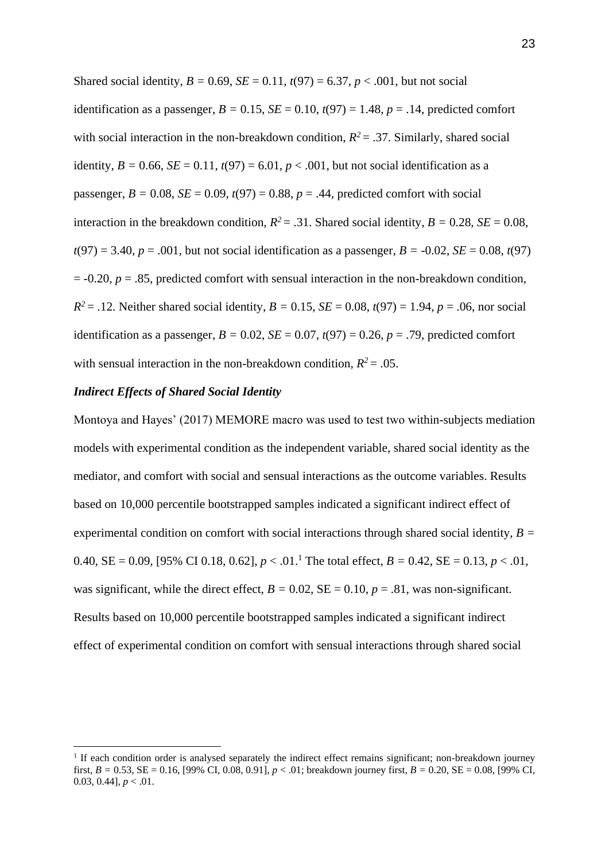Shared social identity,  $B = 0.69$ ,  $SE = 0.11$ ,  $t(97) = 6.37$ ,  $p < .001$ , but not social identification as a passenger,  $B = 0.15$ ,  $SE = 0.10$ ,  $t(97) = 1.48$ ,  $p = .14$ , predicted comfort with social interaction in the non-breakdown condition,  $R^2 = 0.37$ . Similarly, shared social identity,  $B = 0.66$ ,  $SE = 0.11$ ,  $t(97) = 6.01$ ,  $p < .001$ , but not social identification as a passenger,  $B = 0.08$ ,  $SE = 0.09$ ,  $t(97) = 0.88$ ,  $p = .44$ , predicted comfort with social interaction in the breakdown condition,  $R^2 = .31$ . Shared social identity,  $B = 0.28$ ,  $SE = 0.08$ ,  $t(97) = 3.40, p = .001$ , but not social identification as a passenger,  $B = -0.02$ ,  $SE = 0.08$ ,  $t(97)$ = -0.20, *p* = .85, predicted comfort with sensual interaction in the non-breakdown condition,  $R^2 = .12$ . Neither shared social identity,  $B = 0.15$ ,  $SE = 0.08$ ,  $t(97) = 1.94$ ,  $p = .06$ , nor social identification as a passenger,  $B = 0.02$ ,  $SE = 0.07$ ,  $t(97) = 0.26$ ,  $p = .79$ , predicted comfort with sensual interaction in the non-breakdown condition,  $R^2 = .05$ .

#### *Indirect Effects of Shared Social Identity*

Montoya and Hayes' (2017) MEMORE macro was used to test two within-subjects mediation models with experimental condition as the independent variable, shared social identity as the mediator, and comfort with social and sensual interactions as the outcome variables. Results based on 10,000 percentile bootstrapped samples indicated a significant indirect effect of experimental condition on comfort with social interactions through shared social identity, *B =* 0.40, SE = 0.09, [95% CI 0.18, 0.62],  $p < .01$ .<sup>1</sup> The total effect,  $B = 0.42$ , SE = 0.13,  $p < .01$ , was significant, while the direct effect,  $B = 0.02$ ,  $SE = 0.10$ ,  $p = .81$ , was non-significant. Results based on 10,000 percentile bootstrapped samples indicated a significant indirect effect of experimental condition on comfort with sensual interactions through shared social

<sup>&</sup>lt;sup>1</sup> If each condition order is analysed separately the indirect effect remains significant; non-breakdown journey first, *B =* 0.53, SE = 0.16, [99% CI, 0.08, 0.91], *p* < .01; breakdown journey first, *B =* 0.20, SE = 0.08, [99% CI, 0.03, 0.44],  $p < .01$ .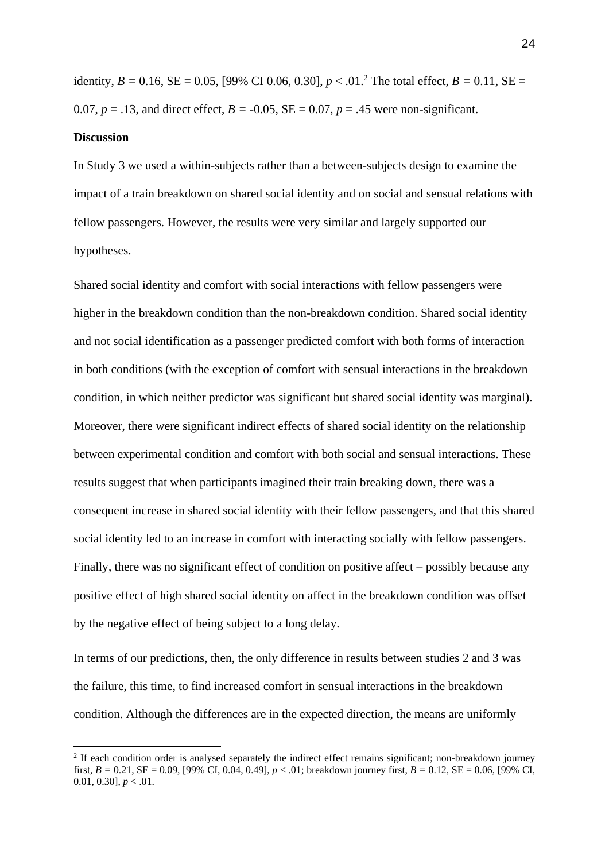identity,  $B = 0.16$ ,  $SE = 0.05$ , [99% CI 0.06, 0.30],  $p < .01$ .<sup>2</sup> The total effect,  $B = 0.11$ ,  $SE =$ 0.07,  $p = .13$ , and direct effect,  $B = -0.05$ ,  $SE = 0.07$ ,  $p = .45$  were non-significant.

#### **Discussion**

In Study 3 we used a within-subjects rather than a between-subjects design to examine the impact of a train breakdown on shared social identity and on social and sensual relations with fellow passengers. However, the results were very similar and largely supported our hypotheses.

Shared social identity and comfort with social interactions with fellow passengers were higher in the breakdown condition than the non-breakdown condition. Shared social identity and not social identification as a passenger predicted comfort with both forms of interaction in both conditions (with the exception of comfort with sensual interactions in the breakdown condition, in which neither predictor was significant but shared social identity was marginal). Moreover, there were significant indirect effects of shared social identity on the relationship between experimental condition and comfort with both social and sensual interactions. These results suggest that when participants imagined their train breaking down, there was a consequent increase in shared social identity with their fellow passengers, and that this shared social identity led to an increase in comfort with interacting socially with fellow passengers. Finally, there was no significant effect of condition on positive affect – possibly because any positive effect of high shared social identity on affect in the breakdown condition was offset by the negative effect of being subject to a long delay.

In terms of our predictions, then, the only difference in results between studies 2 and 3 was the failure, this time, to find increased comfort in sensual interactions in the breakdown condition. Although the differences are in the expected direction, the means are uniformly

<sup>&</sup>lt;sup>2</sup> If each condition order is analysed separately the indirect effect remains significant; non-breakdown journey first, *B =* 0.21, SE = 0.09, [99% CI, 0.04, 0.49], *p* < .01; breakdown journey first, *B =* 0.12, SE = 0.06, [99% CI, 0.01, 0.30],  $p < .01$ .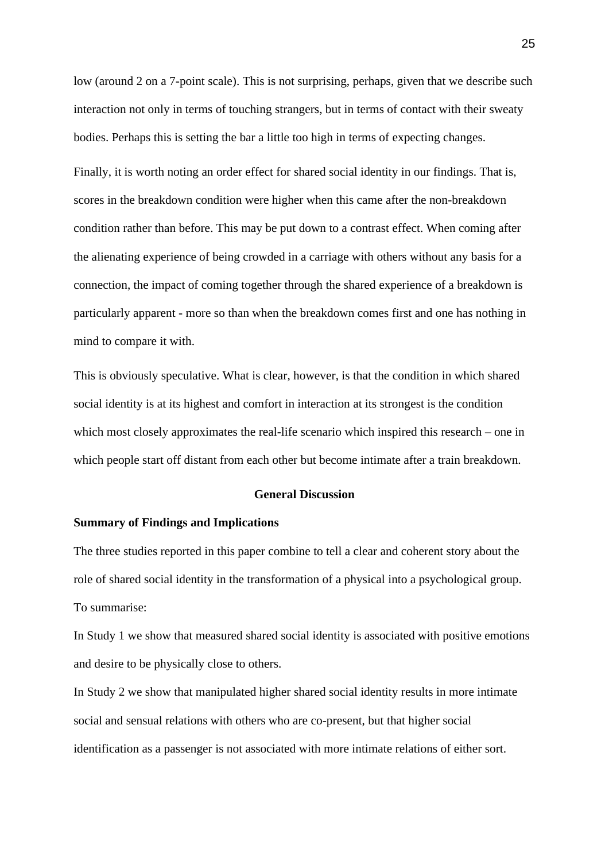low (around 2 on a 7-point scale). This is not surprising, perhaps, given that we describe such interaction not only in terms of touching strangers, but in terms of contact with their sweaty bodies. Perhaps this is setting the bar a little too high in terms of expecting changes.

Finally, it is worth noting an order effect for shared social identity in our findings. That is, scores in the breakdown condition were higher when this came after the non-breakdown condition rather than before. This may be put down to a contrast effect. When coming after the alienating experience of being crowded in a carriage with others without any basis for a connection, the impact of coming together through the shared experience of a breakdown is particularly apparent - more so than when the breakdown comes first and one has nothing in mind to compare it with.

This is obviously speculative. What is clear, however, is that the condition in which shared social identity is at its highest and comfort in interaction at its strongest is the condition which most closely approximates the real-life scenario which inspired this research – one in which people start off distant from each other but become intimate after a train breakdown.

#### **General Discussion**

#### **Summary of Findings and Implications**

The three studies reported in this paper combine to tell a clear and coherent story about the role of shared social identity in the transformation of a physical into a psychological group. To summarise:

In Study 1 we show that measured shared social identity is associated with positive emotions and desire to be physically close to others.

In Study 2 we show that manipulated higher shared social identity results in more intimate social and sensual relations with others who are co-present, but that higher social identification as a passenger is not associated with more intimate relations of either sort.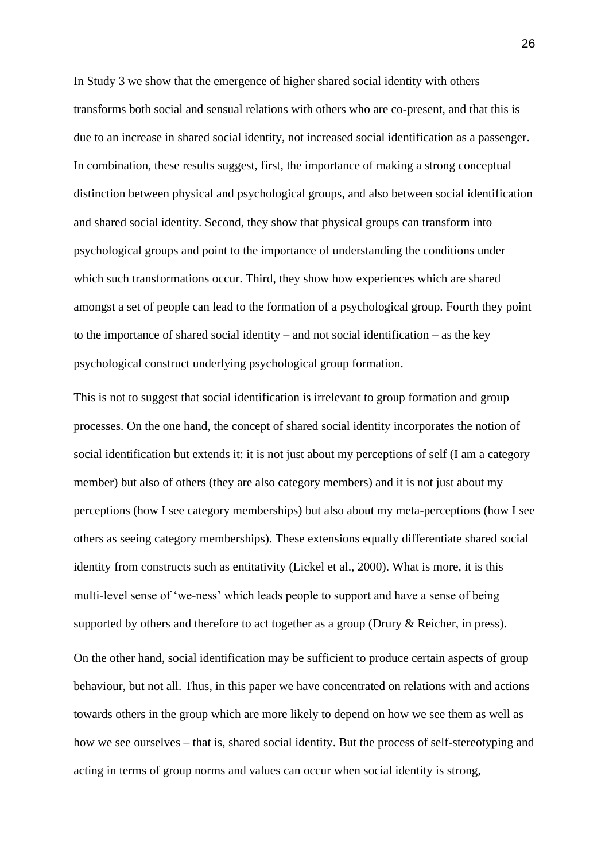In Study 3 we show that the emergence of higher shared social identity with others transforms both social and sensual relations with others who are co-present, and that this is due to an increase in shared social identity, not increased social identification as a passenger. In combination, these results suggest, first, the importance of making a strong conceptual distinction between physical and psychological groups, and also between social identification and shared social identity. Second, they show that physical groups can transform into psychological groups and point to the importance of understanding the conditions under which such transformations occur. Third, they show how experiences which are shared amongst a set of people can lead to the formation of a psychological group. Fourth they point to the importance of shared social identity – and not social identification – as the key psychological construct underlying psychological group formation.

This is not to suggest that social identification is irrelevant to group formation and group processes. On the one hand, the concept of shared social identity incorporates the notion of social identification but extends it: it is not just about my perceptions of self (I am a category member) but also of others (they are also category members) and it is not just about my perceptions (how I see category memberships) but also about my meta-perceptions (how I see others as seeing category memberships). These extensions equally differentiate shared social identity from constructs such as entitativity (Lickel et al., 2000). What is more, it is this multi-level sense of 'we-ness' which leads people to support and have a sense of being supported by others and therefore to act together as a group (Drury & Reicher, in press). On the other hand, social identification may be sufficient to produce certain aspects of group behaviour, but not all. Thus, in this paper we have concentrated on relations with and actions towards others in the group which are more likely to depend on how we see them as well as how we see ourselves – that is, shared social identity. But the process of self-stereotyping and acting in terms of group norms and values can occur when social identity is strong,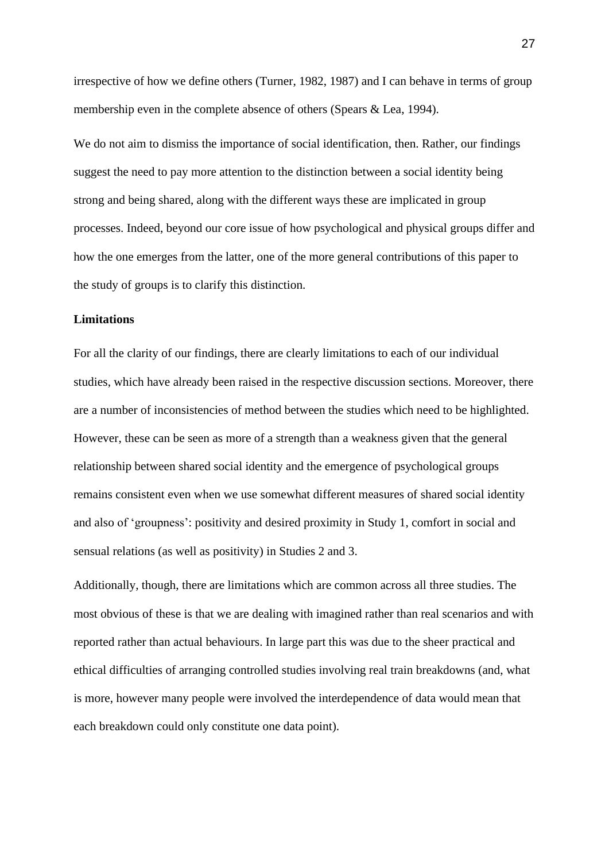irrespective of how we define others (Turner, 1982, 1987) and I can behave in terms of group membership even in the complete absence of others (Spears & Lea, 1994).

We do not aim to dismiss the importance of social identification, then. Rather, our findings suggest the need to pay more attention to the distinction between a social identity being strong and being shared, along with the different ways these are implicated in group processes. Indeed, beyond our core issue of how psychological and physical groups differ and how the one emerges from the latter, one of the more general contributions of this paper to the study of groups is to clarify this distinction.

# **Limitations**

For all the clarity of our findings, there are clearly limitations to each of our individual studies, which have already been raised in the respective discussion sections. Moreover, there are a number of inconsistencies of method between the studies which need to be highlighted. However, these can be seen as more of a strength than a weakness given that the general relationship between shared social identity and the emergence of psychological groups remains consistent even when we use somewhat different measures of shared social identity and also of 'groupness': positivity and desired proximity in Study 1, comfort in social and sensual relations (as well as positivity) in Studies 2 and 3.

Additionally, though, there are limitations which are common across all three studies. The most obvious of these is that we are dealing with imagined rather than real scenarios and with reported rather than actual behaviours. In large part this was due to the sheer practical and ethical difficulties of arranging controlled studies involving real train breakdowns (and, what is more, however many people were involved the interdependence of data would mean that each breakdown could only constitute one data point).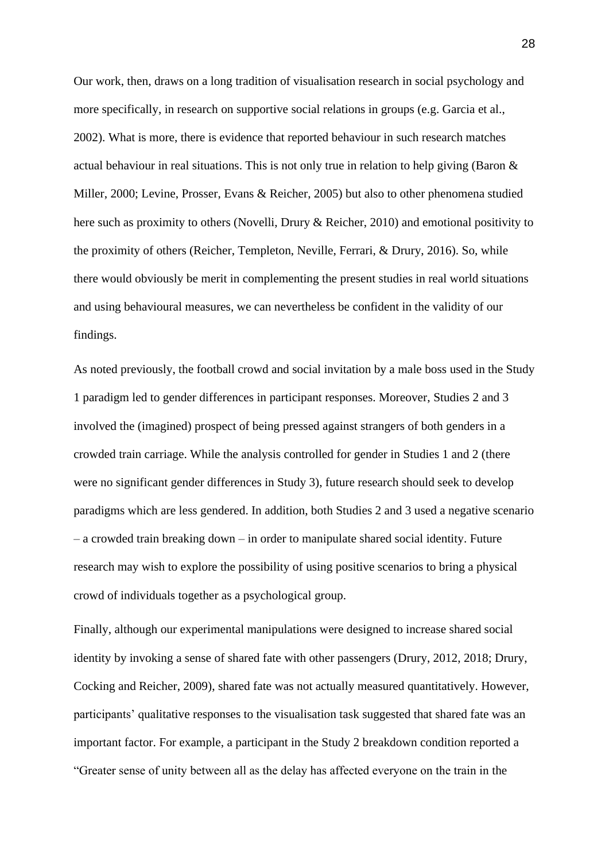Our work, then, draws on a long tradition of visualisation research in social psychology and more specifically, in research on supportive social relations in groups (e.g. Garcia et al., 2002). What is more, there is evidence that reported behaviour in such research matches actual behaviour in real situations. This is not only true in relation to help giving (Baron  $\&$ Miller, 2000; Levine, Prosser, Evans & Reicher, 2005) but also to other phenomena studied here such as proximity to others (Novelli, Drury & Reicher, 2010) and emotional positivity to the proximity of others (Reicher, Templeton, Neville, Ferrari, & Drury, 2016). So, while there would obviously be merit in complementing the present studies in real world situations and using behavioural measures, we can nevertheless be confident in the validity of our findings.

As noted previously, the football crowd and social invitation by a male boss used in the Study 1 paradigm led to gender differences in participant responses. Moreover, Studies 2 and 3 involved the (imagined) prospect of being pressed against strangers of both genders in a crowded train carriage. While the analysis controlled for gender in Studies 1 and 2 (there were no significant gender differences in Study 3), future research should seek to develop paradigms which are less gendered. In addition, both Studies 2 and 3 used a negative scenario – a crowded train breaking down – in order to manipulate shared social identity. Future research may wish to explore the possibility of using positive scenarios to bring a physical crowd of individuals together as a psychological group.

Finally, although our experimental manipulations were designed to increase shared social identity by invoking a sense of shared fate with other passengers (Drury, 2012, 2018; Drury, Cocking and Reicher, 2009), shared fate was not actually measured quantitatively. However, participants' qualitative responses to the visualisation task suggested that shared fate was an important factor. For example, a participant in the Study 2 breakdown condition reported a "Greater sense of unity between all as the delay has affected everyone on the train in the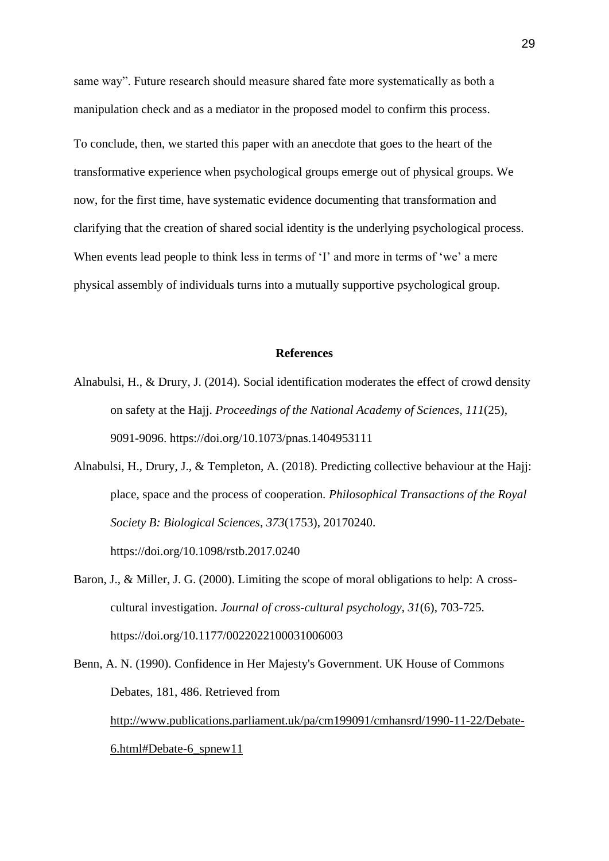same way". Future research should measure shared fate more systematically as both a manipulation check and as a mediator in the proposed model to confirm this process. To conclude, then, we started this paper with an anecdote that goes to the heart of the transformative experience when psychological groups emerge out of physical groups. We now, for the first time, have systematic evidence documenting that transformation and clarifying that the creation of shared social identity is the underlying psychological process. When events lead people to think less in terms of 'I' and more in terms of 'we' a mere physical assembly of individuals turns into a mutually supportive psychological group.

#### **References**

- Alnabulsi, H., & Drury, J. (2014). Social identification moderates the effect of crowd density on safety at the Hajj. *Proceedings of the National Academy of Sciences*, *111*(25), 9091-9096. <https://doi.org/10.1073/pnas.1404953111>
- Alnabulsi, H., Drury, J., & Templeton, A. (2018). Predicting collective behaviour at the Hajj: place, space and the process of cooperation. *Philosophical Transactions of the Royal Society B: Biological Sciences*, *373*(1753), 20170240. <https://doi.org/10.1098/rstb.2017.0240>
- Baron, J., & Miller, J. G. (2000). Limiting the scope of moral obligations to help: A crosscultural investigation. *Journal of cross-cultural psychology*, *31*(6), 703-725. [https://doi.org/10.1177/0022022100031006003](https://doi.org/10.1177%2F0022022100031006003)
- Benn, A. N. (1990). Confidence in Her Majesty's Government. UK House of Commons Debates, 181, 486. Retrieved from [http://www.publications.parliament.uk/pa/cm199091/cmhansrd/1990-11-22/Debate-](http://www.publications.parliament.uk/pa/cm199091/cmhansrd/1990-11-22/Debate-6.html#Debate-6_spnew11)[6.html#Debate-6\\_spnew11](http://www.publications.parliament.uk/pa/cm199091/cmhansrd/1990-11-22/Debate-6.html#Debate-6_spnew11)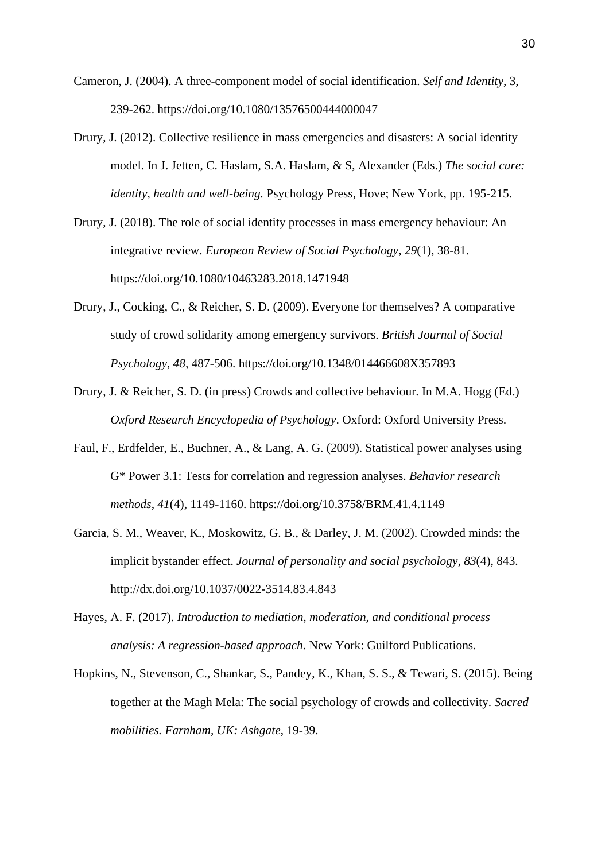- Cameron, J. (2004). A three-component model of social identification. *Self and Identity*, 3, 239-262. <https://doi.org/10.1080/13576500444000047>
- Drury, J. (2012). Collective resilience in mass emergencies and disasters: A social identity model*.* In J. Jetten, C. Haslam, S.A. Haslam, & S, Alexander (Eds.) *The social cure: identity, health and well-being.* Psychology Press, Hove; New York, pp. 195-215.
- Drury, J. (2018). The role of social identity processes in mass emergency behaviour: An integrative review. *European Review of Social Psychology*, *29*(1), 38-81. <https://doi.org/10.1080/10463283.2018.1471948>
- Drury, J., Cocking, C., & Reicher, S. D. (2009). Everyone for themselves? A comparative study of crowd solidarity among emergency survivors. *British Journal of Social Psychology, 48,* 487-506. <https://doi.org/10.1348/014466608X357893>
- Drury, J. & Reicher, S. D. (in press) Crowds and collective behaviour. In M.A. Hogg (Ed.) *Oxford Research Encyclopedia of Psychology*. Oxford: Oxford University Press.
- Faul, F., Erdfelder, E., Buchner, A., & Lang, A. G. (2009). Statistical power analyses using G\* Power 3.1: Tests for correlation and regression analyses. *Behavior research methods*, *41*(4), 1149-1160. https://doi.org/10.3758/BRM.41.4.1149
- Garcia, S. M., Weaver, K., Moskowitz, G. B., & Darley, J. M. (2002). Crowded minds: the implicit bystander effect. *Journal of personality and social psychology*, *83*(4), 843. [http://dx.doi.org/10.1037/0022-3514.83.4.843](https://psycnet.apa.org/doi/10.1037/0022-3514.83.4.843)
- Hayes, A. F. (2017). *Introduction to mediation, moderation, and conditional process analysis: A regression-based approach*. New York: Guilford Publications.
- Hopkins, N., Stevenson, C., Shankar, S., Pandey, K., Khan, S. S., & Tewari, S. (2015). Being together at the Magh Mela: The social psychology of crowds and collectivity. *Sacred mobilities. Farnham, UK: Ashgate*, 19-39.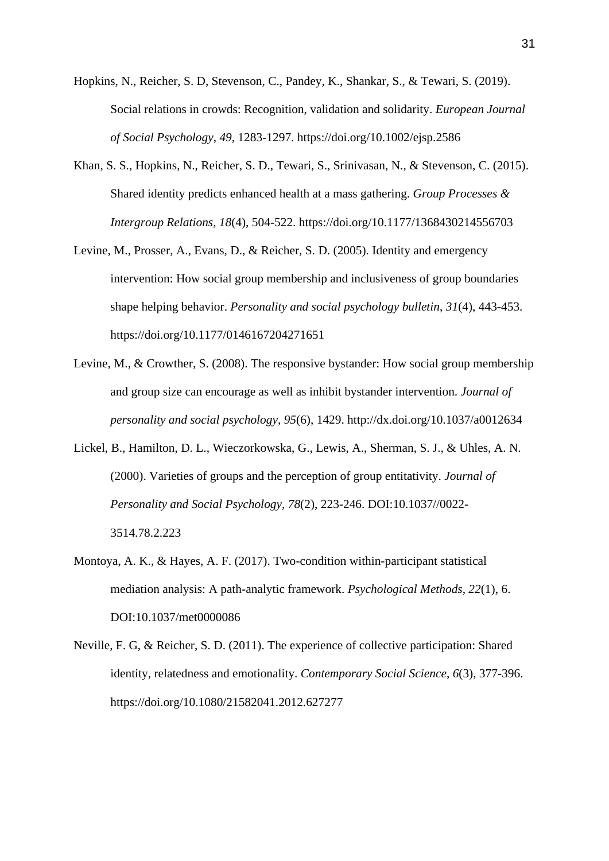- Hopkins, N., Reicher, S. D, Stevenson, C., Pandey, K., Shankar, S., & Tewari, S. (2019). Social relations in crowds: Recognition, validation and solidarity. *European Journal of Social Psychology*, *49*, 1283-1297.<https://doi.org/10.1002/ejsp.2586>
- Khan, S. S., Hopkins, N., Reicher, S. D., Tewari, S., Srinivasan, N., & Stevenson, C. (2015). Shared identity predicts enhanced health at a mass gathering. *Group Processes & Intergroup Relations*, *18*(4), 504-522. [https://doi.org/10.1177/1368430214556703](https://doi.org/10.1177%2F1368430214556703)
- Levine, M., Prosser, A., Evans, D., & Reicher, S. D. (2005). Identity and emergency intervention: How social group membership and inclusiveness of group boundaries shape helping behavior. *Personality and social psychology bulletin*, *31*(4), 443-453. [https://doi.org/10.1177/0146167204271651](https://doi.org/10.1177%2F0146167204271651)
- Levine, M., & Crowther, S. (2008). The responsive bystander: How social group membership and group size can encourage as well as inhibit bystander intervention. *Journal of personality and social psychology*, *95*(6), 1429. [http://dx.doi.org/10.1037/a0012634](https://psycnet.apa.org/doi/10.1037/a0012634)
- Lickel, B., Hamilton, D. L., Wieczorkowska, G., Lewis, A., Sherman, S. J., & Uhles, A. N. (2000). Varieties of groups and the perception of group entitativity. *Journal of Personality and Social Psychology, 78*(2), 223-246. DOI[:10.1037//0022-](https://doi.org/10.1037/0022-3514.78.2.223) [3514.78.2.223](https://doi.org/10.1037/0022-3514.78.2.223)
- Montoya, A. K., & Hayes, A. F. (2017). Two-condition within-participant statistical mediation analysis: A path-analytic framework. *Psychological Methods, 22*(1), 6. DOI[:10.1037/met0000086](https://doi.org/10.1037/met0000086)
- Neville, F. G, & Reicher, S. D. (2011). The experience of collective participation: Shared identity, relatedness and emotionality. *Contemporary Social Science*, *6*(3), 377-396. <https://doi.org/10.1080/21582041.2012.627277>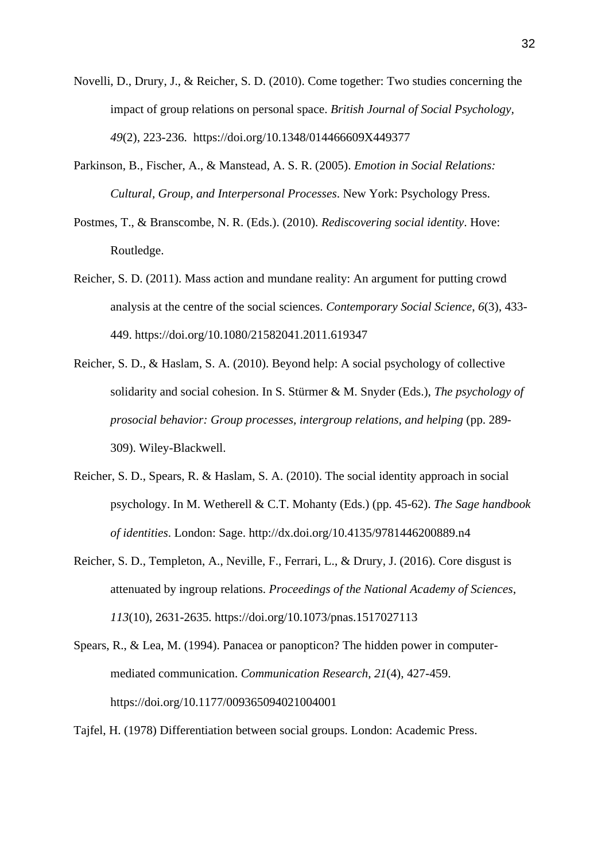- Novelli, D., Drury, J., & Reicher, S. D. (2010). Come together: Two studies concerning the impact of group relations on personal space. *British Journal of Social Psychology, 49*(2), 223-236. <https://doi.org/10.1348/014466609X449377>
- Parkinson, B., Fischer, A., & Manstead, A. S. R. (2005). *Emotion in Social Relations: Cultural, Group, and Interpersonal Processes*. New York: Psychology Press.
- Postmes, T., & Branscombe, N. R. (Eds.). (2010). *Rediscovering social identity*. Hove: Routledge.
- Reicher, S. D. (2011). Mass action and mundane reality: An argument for putting crowd analysis at the centre of the social sciences. *Contemporary Social Science*, *6*(3), 433- 449. <https://doi.org/10.1080/21582041.2011.619347>
- Reicher, S. D., & Haslam, S. A. (2010). Beyond help: A social psychology of collective solidarity and social cohesion. In S. Stürmer & M. Snyder (Eds.), *The psychology of prosocial behavior: Group processes, intergroup relations, and helping* (pp. 289- 309). Wiley-Blackwell.
- Reicher, S. D., Spears, R. & Haslam, S. A. (2010). The social identity approach in social psychology. In M. Wetherell & C.T. Mohanty (Eds.) (pp. 45-62). *The Sage handbook of identities*. London: Sage. <http://dx.doi.org/10.4135/9781446200889.n4>
- Reicher, S. D., Templeton, A., Neville, F., Ferrari, L., & Drury, J. (2016). Core disgust is attenuated by ingroup relations. *Proceedings of the National Academy of Sciences*, *113*(10), 2631-2635. <https://doi.org/10.1073/pnas.1517027113>
- Spears, R., & Lea, M. (1994). Panacea or panopticon? The hidden power in computermediated communication. *Communication Research*, *21*(4), 427-459. [https://doi.org/10.1177/009365094021004001](https://doi.org/10.1177%2F009365094021004001)

Tajfel, H. (1978) Differentiation between social groups. London: Academic Press.